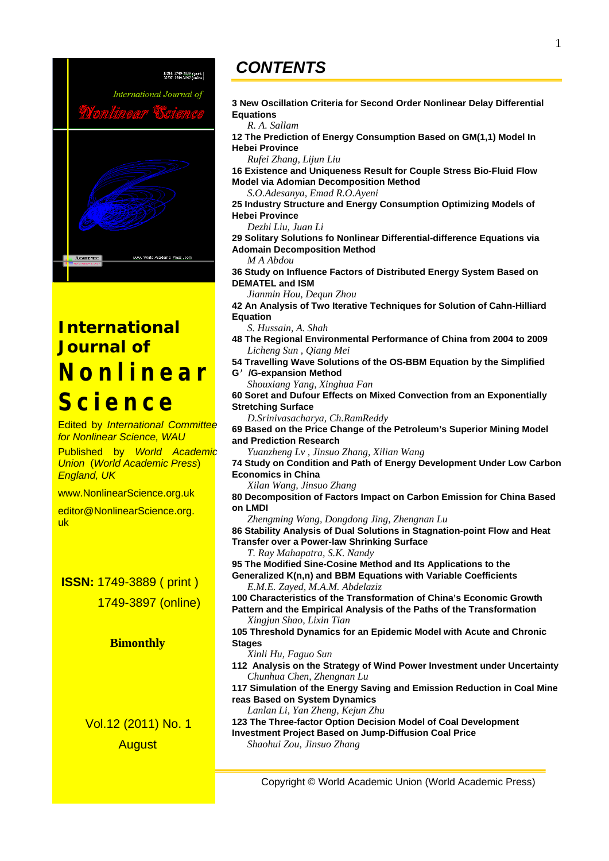

# *International Journal of*  **Nonlinear Science**

Edited by *International Committee for Nonlinear Science, WAU*  Published by *World Academic Union* (*World Academic Press*) *England, UK*  www.NonlinearScience.org.uk editor@NonlinearScience.org. uk  **ISSN:** 1749-3889 ( print ) 1749-3897 (online) **Bimonthly**  Vol.12 (2011) No. 1 **August** 

## *CONTENTS*

**3 New Oscillation Criteria for Second Order Nonlinear Delay Differential Equations** 

*R. A. Sallam* 

**12 The Prediction of Energy Consumption Based on GM(1,1) Model In Hebei Province** 

*Rufei Zhang, Lijun Liu* 

**16 Existence and Uniqueness Result for Couple Stress Bio-Fluid Flow Model via Adomian Decomposition Method** 

*S.O.Adesanya, Emad R.O.Ayeni* 

**25 Industry Structure and Energy Consumption Optimizing Models of Hebei Province** 

*Dezhi Liu, Juan Li* 

**29 Solitary Solutions fo Nonlinear Differential-difference Equations via Adomain Decomposition Method** 

*M A Abdou* 

**36 Study on Influence Factors of Distributed Energy System Based on DEMATEL and ISM** 

*Jianmin Hou, Dequn Zhou* 

**42 An Analysis of Two Iterative Techniques for Solution of Cahn-Hilliard Equation** 

*S. Hussain, A. Shah* 

**48 The Regional Environmental Performance of China from 2004 to 2009**  *Licheng Sun , Qiang Mei* 

**54 Travelling Wave Solutions of the OS-BBM Equation by the Simplified G**′**/G-expansion Method** 

*Shouxiang Yang, Xinghua Fan* 

**60 Soret and Dufour Effects on Mixed Convection from an Exponentially Stretching Surface** 

*D.Srinivasacharya, Ch.RamReddy* 

**69 Based on the Price Change of the Petroleum's Superior Mining Model and Prediction Research** 

*Yuanzheng Lv , Jinsuo Zhang, Xilian Wang* 

**74 Study on Condition and Path of Energy Development Under Low Carbon Economics in China** 

*Xilan Wang, Jinsuo Zhang* 

**80 Decomposition of Factors Impact on Carbon Emission for China Based on LMDI** 

*Zhengming Wang, Dongdong Jing, Zhengnan Lu*  **86 Stability Analysis of Dual Solutions in Stagnation-point Flow and Heat** 

**Transfer over a Power-law Shrinking Surface** 

*T. Ray Mahapatra, S.K. Nandy* 

**95 The Modified Sine-Cosine Method and Its Applications to the** 

**Generalized K(n,n) and BBM Equations with Variable Coefficients**  *E.M.E. Zayed, M.A.M. Abdelaziz* 

**100 Characteristics of the Transformation of China's Economic Growth Pattern and the Empirical Analysis of the Paths of the Transformation**  *Xingjun Shao, Lixin Tian* 

**105 Threshold Dynamics for an Epidemic Model with Acute and Chronic Stages** 

*Xinli Hu, Faguo Sun* 

**112 Analysis on the Strategy of Wind Power Investment under Uncertainty**  *Chunhua Chen, Zhengnan Lu* 

**117 Simulation of the Energy Saving and Emission Reduction in Coal Mine reas Based on System Dynamics** 

*Lanlan Li, Yan Zheng, Kejun Zhu* 

**123 The Three-factor Option Decision Model of Coal Development Investment Project Based on Jump-Diffusion Coal Price**  *Shaohui Zou, Jinsuo Zhang*